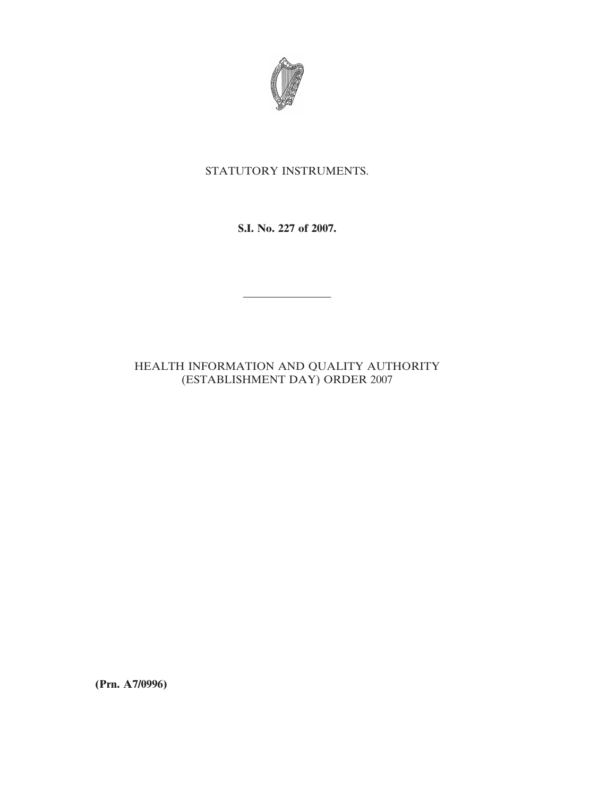

# STATUTORY INSTRUMENTS.

## **S.I. No. 227 of 2007.**

————————

## HEALTH INFORMATION AND QUALITY AUTHORITY (ESTABLISHMENT DAY) ORDER 2007

**(Prn. A7/0996)**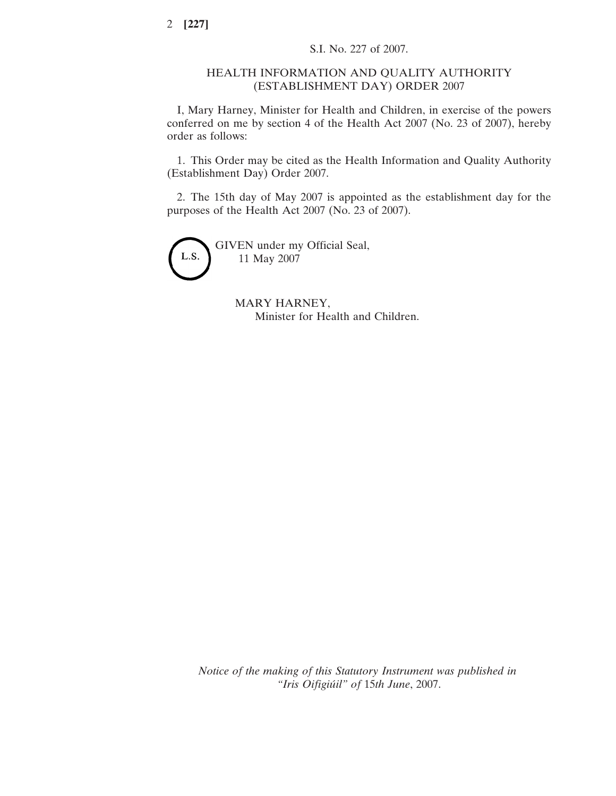#### HEALTH INFORMATION AND QUALITY AUTHORITY (ESTABLISHMENT DAY) ORDER 2007

I, Mary Harney, Minister for Health and Children, in exercise of the powers conferred on me by section 4 of the Health Act 2007 (No. 23 of 2007), hereby order as follows:

1. This Order may be cited as the Health Information and Quality Authority (Establishment Day) Order 2007.

2. The 15th day of May 2007 is appointed as the establishment day for the purposes of the Health Act 2007 (No. 23 of 2007).



MARY HARNEY, Minister for Health and Children.

*Notice of the making of this Statutory Instrument was published in "Iris Oifigiu´il" of* 15*th June*, 2007.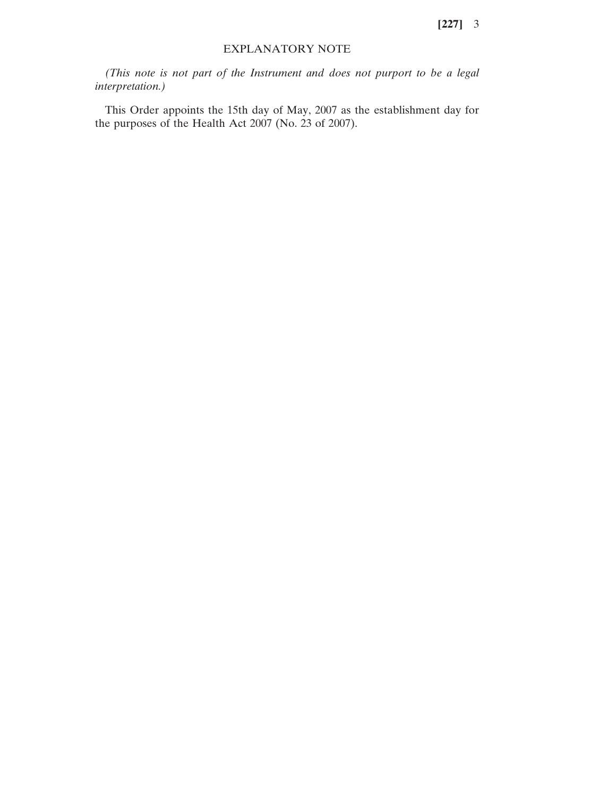**[227]** 3

#### EXPLANATORY NOTE

*(This note is not part of the Instrument and does not purport to be a legal interpretation.)*

This Order appoints the 15th day of May, 2007 as the establishment day for the purposes of the Health Act 2007 (No. 23 of 2007).